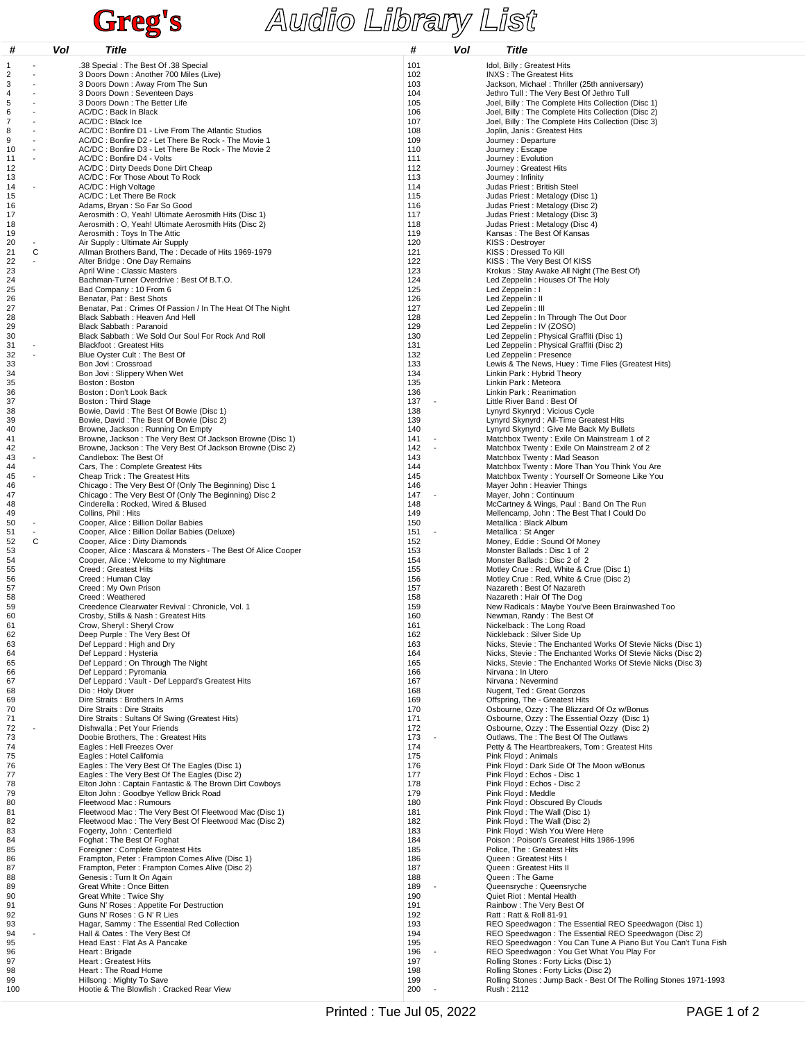## **Greg's Audio Library List**

| #        |   | Vol | Title                                                                                                        | #                               | Vol | Title                                                                                                                      |
|----------|---|-----|--------------------------------------------------------------------------------------------------------------|---------------------------------|-----|----------------------------------------------------------------------------------------------------------------------------|
| 1        |   |     | .38 Special : The Best Of .38 Special                                                                        | 101                             |     | Idol, Billy: Greatest Hits                                                                                                 |
| 2        |   |     | 3 Doors Down: Another 700 Miles (Live)                                                                       | 102                             |     | <b>INXS: The Greatest Hits</b>                                                                                             |
| 3<br>4   |   |     | 3 Doors Down: Away From The Sun<br>3 Doors Down: Seventeen Days                                              | 103<br>104                      |     | Jackson, Michael: Thriller (25th anniversary)<br>Jethro Tull: The Very Best Of Jethro Tull                                 |
| 5        |   |     | 3 Doors Down: The Better Life                                                                                | 105                             |     | Joel, Billy: The Complete Hits Collection (Disc 1)                                                                         |
| 6<br>7   |   |     | AC/DC: Back In Black<br>AC/DC: Black Ice                                                                     | 106<br>107                      |     | Joel, Billy: The Complete Hits Collection (Disc 2)<br>Joel, Billy: The Complete Hits Collection (Disc 3)                   |
| 8        |   |     | AC/DC : Bonfire D1 - Live From The Atlantic Studios                                                          | 108                             |     | Joplin, Janis: Greatest Hits                                                                                               |
| 9        |   |     | AC/DC: Bonfire D2 - Let There Be Rock - The Movie 1                                                          | 109                             |     | Journey : Departure                                                                                                        |
| 10<br>11 |   |     | AC/DC: Bonfire D3 - Let There Be Rock - The Movie 2<br>AC/DC: Bonfire D4 - Volts                             | 110<br>111                      |     | Journey: Escape<br>Journey: Evolution                                                                                      |
| 12       |   |     | AC/DC : Dirty Deeds Done Dirt Cheap                                                                          | 112                             |     | Journey : Greatest Hits                                                                                                    |
| 13<br>14 |   |     | AC/DC: For Those About To Rock<br>AC/DC: High Voltage                                                        | 113<br>114                      |     | Journey: Infinity<br>Judas Priest : British Steel                                                                          |
| 15       |   |     | AC/DC : Let There Be Rock                                                                                    | 115                             |     | Judas Priest: Metalogy (Disc 1)                                                                                            |
| 16       |   |     | Adams, Bryan: So Far So Good                                                                                 | 116                             |     | Judas Priest: Metalogy (Disc 2)                                                                                            |
| 17<br>18 |   |     | Aerosmith: O, Yeah! Ultimate Aerosmith Hits (Disc 1)<br>Aerosmith: O, Yeah! Ultimate Aerosmith Hits (Disc 2) | 117<br>118                      |     | Judas Priest: Metalogy (Disc 3)<br>Judas Priest: Metalogy (Disc 4)                                                         |
| 19       |   |     | Aerosmith : Toys In The Attic                                                                                | 119                             |     | Kansas: The Best Of Kansas                                                                                                 |
| 20<br>21 | C |     | Air Supply : Ultimate Air Supply<br>Allman Brothers Band, The: Decade of Hits 1969-1979                      | 120<br>121                      |     | KISS: Destroyer<br>KISS: Dressed To Kill                                                                                   |
| 22       |   |     | Alter Bridge : One Day Remains                                                                               | 122                             |     | KISS: The Very Best Of KISS                                                                                                |
| 23       |   |     | April Wine: Classic Masters                                                                                  | 123<br>124                      |     | Krokus: Stay Awake All Night (The Best Of)                                                                                 |
| 24<br>25 |   |     | Bachman-Turner Overdrive : Best Of B.T.O.<br>Bad Company: 10 From 6                                          | 125                             |     | Led Zeppelin : Houses Of The Holy<br>Led Zeppelin : I                                                                      |
| 26       |   |     | Benatar, Pat: Best Shots                                                                                     | 126                             |     | Led Zeppelin : II                                                                                                          |
| 27<br>28 |   |     | Benatar, Pat : Crimes Of Passion / In The Heat Of The Night<br>Black Sabbath: Heaven And Hell                | 127<br>128                      |     | Led Zeppelin : III<br>Led Zeppelin : In Through The Out Door                                                               |
| 29       |   |     | Black Sabbath: Paranoid                                                                                      | 129                             |     | Led Zeppelin: IV (ZOSO)                                                                                                    |
| 30       |   |     | Black Sabbath: We Sold Our Soul For Rock And Roll                                                            | 130                             |     | Led Zeppelin : Physical Graffiti (Disc 1)                                                                                  |
| 31<br>32 |   |     | <b>Blackfoot: Greatest Hits</b><br>Blue Oyster Cult: The Best Of                                             | 131<br>132                      |     | Led Zeppelin : Physical Graffiti (Disc 2)<br>Led Zeppelin : Presence                                                       |
| 33       |   |     | Bon Jovi: Crossroad                                                                                          | 133                             |     | Lewis & The News, Huey: Time Flies (Greatest Hits)                                                                         |
| 34<br>35 |   |     | Bon Jovi: Slippery When Wet<br>Boston: Boston                                                                | 134<br>135                      |     | Linkin Park: Hybrid Theory<br>Linkin Park: Meteora                                                                         |
| 36       |   |     | Boston: Don't Look Back                                                                                      | 136                             |     | Linkin Park: Reanimation                                                                                                   |
| 37       |   |     | Boston: Third Stage                                                                                          | 137                             |     | Little River Band: Best Of                                                                                                 |
| 38<br>39 |   |     | Bowie, David: The Best Of Bowie (Disc 1)<br>Bowie, David: The Best Of Bowie (Disc 2)                         | 138<br>139                      |     | Lynyrd Skynryd: Vicious Cycle<br>Lynyrd Skynyrd : All-Time Greatest Hits                                                   |
| 40       |   |     | Browne, Jackson: Running On Empty                                                                            | 140                             |     | Lynyrd Skynyrd: Give Me Back My Bullets                                                                                    |
| 41       |   |     | Browne, Jackson: The Very Best Of Jackson Browne (Disc 1)                                                    | 141<br>$\blacksquare$           |     | Matchbox Twenty: Exile On Mainstream 1 of 2                                                                                |
| 42<br>43 |   |     | Browne, Jackson: The Very Best Of Jackson Browne (Disc 2)<br>Candlebox: The Best Of                          | 142<br>143                      |     | Matchbox Twenty: Exile On Mainstream 2 of 2<br>Matchbox Twenty: Mad Season                                                 |
| 44       |   |     | Cars, The: Complete Greatest Hits                                                                            | 144                             |     | Matchbox Twenty: More Than You Think You Are                                                                               |
| 45<br>46 |   |     | Cheap Trick: The Greatest Hits<br>Chicago: The Very Best Of (Only The Beginning) Disc 1                      | 145<br>146                      |     | Matchbox Twenty: Yourself Or Someone Like You<br>Mayer John : Heavier Things                                               |
| 47       |   |     | Chicago: The Very Best Of (Only The Beginning) Disc 2                                                        | 147                             |     | Mayer, John : Continuum                                                                                                    |
| 48       |   |     | Cinderella: Rocked, Wired & Blused                                                                           | 148                             |     | McCartney & Wings, Paul: Band On The Run                                                                                   |
| 49<br>50 |   |     | Collins, Phil: Hits<br>Cooper, Alice : Billion Dollar Babies                                                 | 149<br>150                      |     | Mellencamp, John: The Best That I Could Do<br>Metallica : Black Album                                                      |
| 51       |   |     | Cooper, Alice: Billion Dollar Babies (Deluxe)                                                                | 151                             |     | Metallica: St Anger                                                                                                        |
| 52<br>53 | C |     | Cooper, Alice: Dirty Diamonds<br>Cooper, Alice: Mascara & Monsters - The Best Of Alice Cooper                | 152<br>153                      |     | Money, Eddie: Sound Of Money<br>Monster Ballads: Disc 1 of 2                                                               |
| 54       |   |     | Cooper, Alice: Welcome to my Nightmare                                                                       | 154                             |     | Monster Ballads: Disc 2 of 2                                                                                               |
| 55       |   |     | Creed: Greatest Hits                                                                                         | 155                             |     | Motley Crue : Red, White & Crue (Disc 1)                                                                                   |
| 56<br>57 |   |     | Creed: Human Clay<br>Creed: My Own Prison                                                                    | 156<br>157                      |     | Motley Crue : Red, White & Crue (Disc 2)<br>Nazareth: Best Of Nazareth                                                     |
| 58       |   |     | Creed: Weathered                                                                                             | 158                             |     | Nazareth: Hair Of The Dog                                                                                                  |
| 59<br>60 |   |     | Creedence Clearwater Revival : Chronicle, Vol. 1<br>Crosby, Stills & Nash: Greatest Hits                     | 159<br>160                      |     | New Radicals: Maybe You've Been Brainwashed Too<br>Newman, Randy: The Best Of                                              |
| 61       |   |     | Crow, Sheryl: Sheryl Crow                                                                                    | 161                             |     | Nickelback: The Long Road                                                                                                  |
| 62       |   |     | Deep Purple : The Very Best Of                                                                               | 162                             |     | Nickleback : Silver Side Up                                                                                                |
| 63<br>64 |   |     | Def Leppard: High and Dry<br>Def Leppard : Hysteria                                                          | 163<br>164                      |     | Nicks, Stevie: The Enchanted Works Of Stevie Nicks (Disc 1)<br>Nicks, Stevie: The Enchanted Works Of Stevie Nicks (Disc 2) |
| 65       |   |     | Def Leppard: On Through The Night                                                                            | 165                             |     | Nicks, Stevie: The Enchanted Works Of Stevie Nicks (Disc 3)                                                                |
| 66<br>67 |   |     | Def Leppard : Pyromania<br>Def Leppard: Vault - Def Leppard's Greatest Hits                                  | 166<br>167                      |     | Nirvana : In Utero<br>Nirvana: Nevermind                                                                                   |
| 68       |   |     | Dio: Holy Diver                                                                                              | 168                             |     | Nugent, Ted: Great Gonzos                                                                                                  |
| 69<br>70 |   |     | Dire Straits : Brothers In Arms<br>Dire Straits : Dire Straits                                               | 169<br>170                      |     | Offspring, The - Greatest Hits<br>Osbourne, Ozzy: The Blizzard Of Oz w/Bonus                                               |
| 71       |   |     | Dire Straits: Sultans Of Swing (Greatest Hits)                                                               | 171                             |     | Osbourne, Ozzy: The Essential Ozzy (Disc 1)                                                                                |
| 72       |   |     | Dishwalla : Pet Your Friends                                                                                 | 172                             |     | Osbourne, Ozzy: The Essential Ozzy (Disc 2)                                                                                |
| 73<br>74 |   |     | Doobie Brothers, The: Greatest Hits<br>Eagles : Hell Freezes Over                                            | 173<br>174                      |     | Outlaws, The : The Best Of The Outlaws<br>Petty & The Heartbreakers, Tom: Greatest Hits                                    |
| 75       |   |     | Eagles : Hotel California                                                                                    | 175                             |     | Pink Floyd: Animals                                                                                                        |
| 76<br>77 |   |     | Eagles: The Very Best Of The Eagles (Disc 1)<br>Eagles: The Very Best Of The Eagles (Disc 2)                 | 176<br>177                      |     | Pink Floyd: Dark Side Of The Moon w/Bonus<br>Pink Floyd: Echos - Disc 1                                                    |
| 78       |   |     | Elton John: Captain Fantastic & The Brown Dirt Cowboys                                                       | 178                             |     | Pink Floyd: Echos - Disc 2                                                                                                 |
| 79       |   |     | Elton John : Goodbye Yellow Brick Road                                                                       | 179                             |     | Pink Floyd: Meddle                                                                                                         |
| 80<br>81 |   |     | Fleetwood Mac: Rumours<br>Fleetwood Mac: The Very Best Of Fleetwood Mac (Disc 1)                             | 180<br>181                      |     | Pink Floyd: Obscured By Clouds<br>Pink Floyd: The Wall (Disc 1)                                                            |
| 82       |   |     | Fleetwood Mac: The Very Best Of Fleetwood Mac (Disc 2)                                                       | 182                             |     | Pink Floyd: The Wall (Disc 2)                                                                                              |
| 83<br>84 |   |     | Fogerty, John: Centerfield<br>Foghat: The Best Of Foghat                                                     | 183<br>184                      |     | Pink Floyd: Wish You Were Here<br>Poison: Poison's Greatest Hits 1986-1996                                                 |
| 85       |   |     | Foreigner: Complete Greatest Hits                                                                            | 185                             |     | Police, The: Greatest Hits                                                                                                 |
| 86       |   |     | Frampton, Peter: Frampton Comes Alive (Disc 1)                                                               | 186                             |     | Queen: Greatest Hits I                                                                                                     |
| 87<br>88 |   |     | Frampton, Peter: Frampton Comes Alive (Disc 2)<br>Genesis: Turn It On Again                                  | 187<br>188                      |     | Queen: Greatest Hits II<br>Queen: The Game                                                                                 |
| 89       |   |     | Great White: Once Bitten                                                                                     | 189<br>$\overline{\phantom{a}}$ |     | Queensryche: Queensryche                                                                                                   |
| 90<br>91 |   |     | Great White: Twice Shy<br>Guns N' Roses : Appetite For Destruction                                           | 190<br>191                      |     | Quiet Riot: Mental Health<br>Rainbow: The Very Best Of                                                                     |
| 92       |   |     | Guns N' Roses : G N' R Lies                                                                                  | 192                             |     | Ratt: Ratt & Roll 81-91                                                                                                    |
| 93       |   |     | Hagar, Sammy: The Essential Red Collection                                                                   | 193                             |     | REO Speedwagon: The Essential REO Speedwagon (Disc 1)                                                                      |
| 94<br>95 |   |     | Hall & Oates: The Very Best Of<br>Head East: Flat As A Pancake                                               | 194<br>195                      |     | REO Speedwagon: The Essential REO Speedwagon (Disc 2)<br>REO Speedwagon: You Can Tune A Piano But You Can't Tuna Fish      |
| 96       |   |     | Heart: Brigade                                                                                               | 196                             |     | REO Speedwagon: You Get What You Play For                                                                                  |
| 97<br>98 |   |     | Heart: Greatest Hits<br>Heart: The Road Home                                                                 | 197<br>198                      |     | Rolling Stones: Forty Licks (Disc 1)<br>Rolling Stones: Forty Licks (Disc 2)                                               |
| 99       |   |     | Hillsong: Mighty To Save                                                                                     | 199                             |     | Rolling Stones: Jump Back - Best Of The Rolling Stones 1971-1993                                                           |
| 100      |   |     | Hootie & The Blowfish: Cracked Rear View                                                                     | 200<br>$\blacksquare$           |     | Rush: 2112                                                                                                                 |